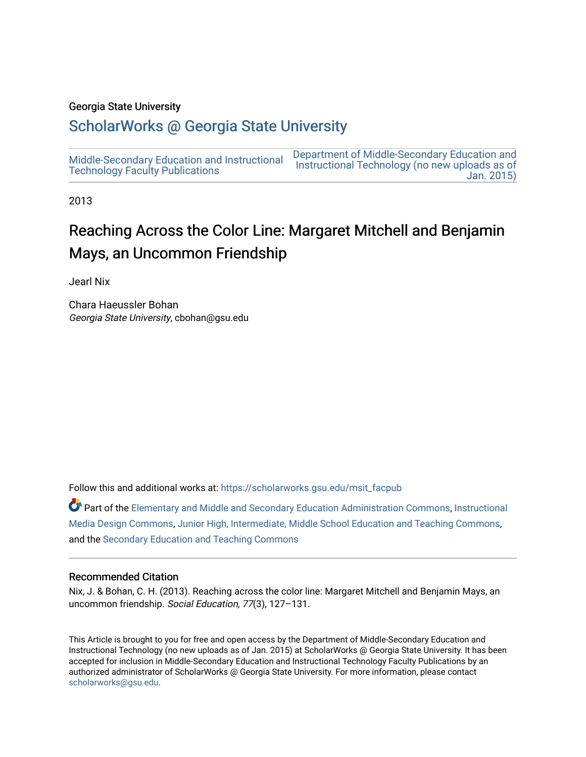#### Georgia State University

## [ScholarWorks @ Georgia State University](https://scholarworks.gsu.edu/)

[Middle-Secondary Education and Instructional](https://scholarworks.gsu.edu/msit_facpub) [Technology Faculty Publications](https://scholarworks.gsu.edu/msit_facpub) [Department of Middle-Secondary Education and](https://scholarworks.gsu.edu/msit)  [Instructional Technology \(no new uploads as of](https://scholarworks.gsu.edu/msit)  [Jan. 2015\)](https://scholarworks.gsu.edu/msit) 

2013

# Reaching Across the Color Line: Margaret Mitchell and Benjamin Mays, an Uncommon Friendship

Jearl Nix

Chara Haeussler Bohan Georgia State University, cbohan@gsu.edu

Follow this and additional works at: [https://scholarworks.gsu.edu/msit\\_facpub](https://scholarworks.gsu.edu/msit_facpub?utm_source=scholarworks.gsu.edu%2Fmsit_facpub%2F22&utm_medium=PDF&utm_campaign=PDFCoverPages)

Part of the [Elementary and Middle and Secondary Education Administration Commons](http://network.bepress.com/hgg/discipline/790?utm_source=scholarworks.gsu.edu%2Fmsit_facpub%2F22&utm_medium=PDF&utm_campaign=PDFCoverPages), [Instructional](http://network.bepress.com/hgg/discipline/795?utm_source=scholarworks.gsu.edu%2Fmsit_facpub%2F22&utm_medium=PDF&utm_campaign=PDFCoverPages)  [Media Design Commons](http://network.bepress.com/hgg/discipline/795?utm_source=scholarworks.gsu.edu%2Fmsit_facpub%2F22&utm_medium=PDF&utm_campaign=PDFCoverPages), [Junior High, Intermediate, Middle School Education and Teaching Commons,](http://network.bepress.com/hgg/discipline/807?utm_source=scholarworks.gsu.edu%2Fmsit_facpub%2F22&utm_medium=PDF&utm_campaign=PDFCoverPages) and the [Secondary Education and Teaching Commons](http://network.bepress.com/hgg/discipline/809?utm_source=scholarworks.gsu.edu%2Fmsit_facpub%2F22&utm_medium=PDF&utm_campaign=PDFCoverPages) 

#### Recommended Citation

Nix, J. & Bohan, C. H. (2013). Reaching across the color line: Margaret Mitchell and Benjamin Mays, an uncommon friendship. Social Education, 77(3), 127–131.

This Article is brought to you for free and open access by the Department of Middle-Secondary Education and Instructional Technology (no new uploads as of Jan. 2015) at ScholarWorks @ Georgia State University. It has been accepted for inclusion in Middle-Secondary Education and Instructional Technology Faculty Publications by an authorized administrator of ScholarWorks @ Georgia State University. For more information, please contact [scholarworks@gsu.edu.](mailto:scholarworks@gsu.edu)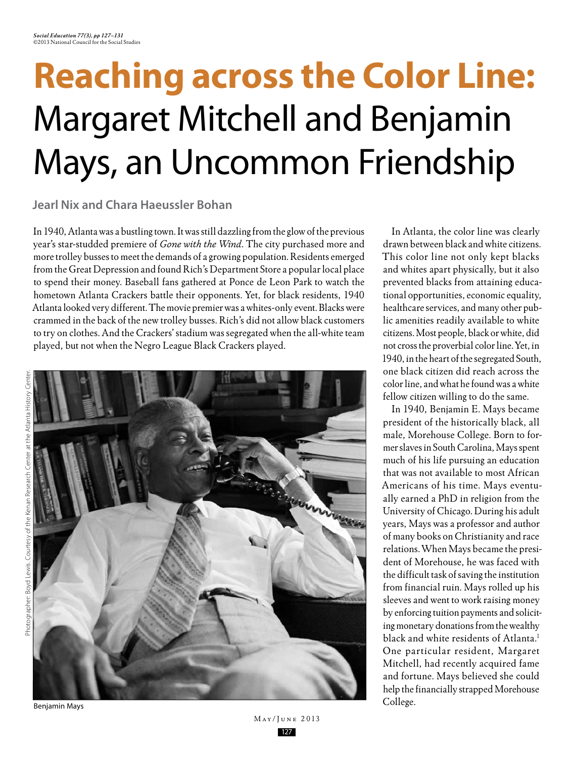# **Reaching across the Color Line:** Margaret Mitchell and Benjamin Mays, an Uncommon Friendship

**Jearl Nix and Chara Haeussler Bohan**

In 1940, Atlanta was a bustling town. It was still dazzling from the glow of the previous year's star-studded premiere of *Gone with the Wind*. The city purchased more and more trolley busses to meet the demands of a growing population. Residents emerged from the Great Depression and found Rich's Department Store a popular local place to spend their money. Baseball fans gathered at Ponce de Leon Park to watch the hometown Atlanta Crackers battle their opponents. Yet, for black residents, 1940 Atlanta looked very different. The movie premier was a whites-only event. Blacks were crammed in the back of the new trolley busses. Rich's did not allow black customers to try on clothes. And the Crackers' stadium was segregated when the all-white team played, but not when the Negro League Black Crackers played.



In Atlanta, the color line was clearly drawn between black and white citizens. This color line not only kept blacks and whites apart physically, but it also prevented blacks from attaining educational opportunities, economic equality, healthcare services, and many other public amenities readily available to white citizens. Most people, black or white, did not cross the proverbial color line. Yet, in 1940, in the heart of the segregated South, one black citizen did reach across the color line, and what he found was a white fellow citizen willing to do the same.

In 1940, Benjamin E. Mays became president of the historically black, all male, Morehouse College. Born to former slaves in South Carolina, Mays spent much of his life pursuing an education that was not available to most African Americans of his time. Mays eventually earned a PhD in religion from the University of Chicago. During his adult years, Mays was a professor and author of many books on Christianity and race relations. When Mays became the president of Morehouse, he was faced with the difficult task of saving the institution from financial ruin. Mays rolled up his sleeves and went to work raising money by enforcing tuition payments and soliciting monetary donations from the wealthy black and white residents of Atlanta.<sup>1</sup> One particular resident, Margaret Mitchell, had recently acquired fame and fortune. Mays believed she could help the financially strapped Morehouse College.

Benjamin Mays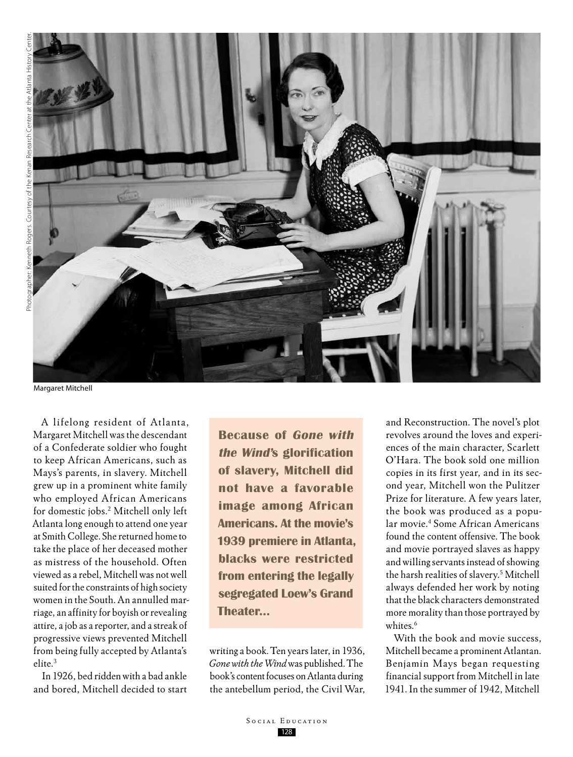

Margaret Mitchell

A lifelong resident of Atlanta, Margaret Mitchell was the descendant of a Confederate soldier who fought to keep African Americans, such as Mays's parents, in slavery. Mitchell grew up in a prominent white family who employed African Americans for domestic jobs.2 Mitchell only left Atlanta long enough to attend one year at Smith College. She returned home to take the place of her deceased mother as mistress of the household. Often viewed as a rebel, Mitchell was not well suited for the constraints of high society women in the South. An annulled marriage, an affinity for boyish or revealing attire, a job as a reporter, and a streak of progressive views prevented Mitchell from being fully accepted by Atlanta's elite.3

In 1926, bed ridden with a bad ankle and bored, Mitchell decided to start

**Because of Gone with the Wind's glorification of slavery, Mitchell did not have a favorable image among African Americans. At the movie's 1939 premiere in Atlanta, blacks were restricted from entering the legally segregated Loew's Grand Theater…**

writing a book. Ten years later, in 1936, *Gone with the Wind* was published. The book's content focuses on Atlanta during the antebellum period, the Civil War, and Reconstruction. The novel's plot revolves around the loves and experiences of the main character, Scarlett O'Hara. The book sold one million copies in its first year, and in its second year, Mitchell won the Pulitzer Prize for literature. A few years later, the book was produced as a popular movie.4 Some African Americans found the content offensive. The book and movie portrayed slaves as happy and willing servants instead of showing the harsh realities of slavery.5 Mitchell always defended her work by noting that the black characters demonstrated more morality than those portrayed by whites.<sup>6</sup>

With the book and movie success, Mitchell became a prominent Atlantan. Benjamin Mays began requesting financial support from Mitchell in late 1941. In the summer of 1942, Mitchell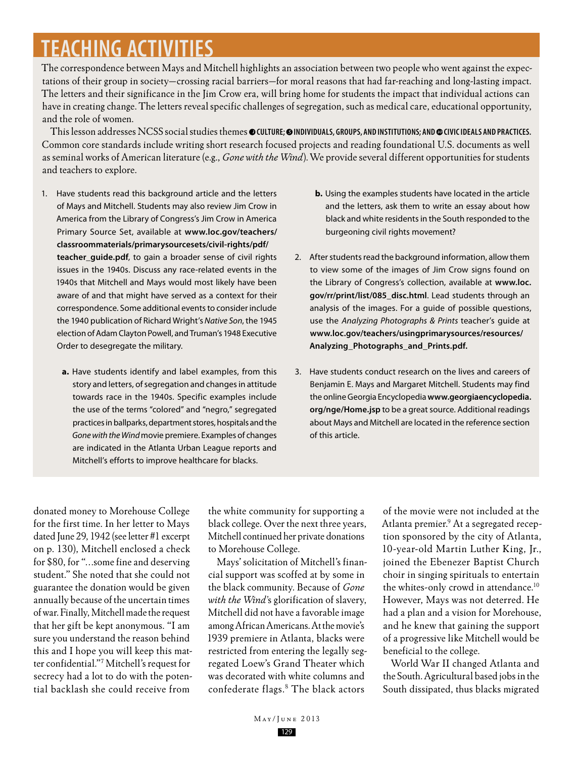# **Teaching Activities**

The correspondence between Mays and Mitchell highlights an association between two people who went against the expectations of their group in society—crossing racial barriers—for moral reasons that had far-reaching and long-lasting impact. The letters and their significance in the Jim Crow era, will bring home for students the impact that individual actions can have in creating change. The letters reveal specific challenges of segregation, such as medical care, educational opportunity, and the role of women.

This lesson addresses NCSS social studies themes **culture; individuals, groups, and institutions; and civic ideals and practices.**  Common core standards include writing short research focused projects and reading foundational U.S. documents as well as seminal works of American literature (e.g., *Gone with the Wind*). We provide several different opportunities for students and teachers to explore.

- 1. Have students read this background article and the letters of Mays and Mitchell. Students may also review Jim Crow in America from the Library of Congress's Jim Crow in America Primary Source Set, available at **www.loc.gov/teachers/ classroommaterials/primarysourcesets/civil-rights/pdf/ teacher\_guide.pdf**, to gain a broader sense of civil rights issues in the 1940s. Discuss any race-related events in the 1940s that Mitchell and Mays would most likely have been aware of and that might have served as a context for their correspondence. Some additional events to consider include the 1940 publication of Richard Wright's *Native Son*, the 1945 election of Adam Clayton Powell, and Truman's 1948 Executive Order to desegregate the military.
	- **a.** Have students identify and label examples, from this story and letters, of segregation and changes in attitude towards race in the 1940s. Specific examples include the use of the terms "colored" and "negro," segregated practices in ballparks, department stores, hospitals and the *Gone with the Wind* movie premiere. Examples of changes are indicated in the Atlanta Urban League reports and Mitchell's efforts to improve healthcare for blacks.
- **b.** Using the examples students have located in the article and the letters, ask them to write an essay about how black and white residents in the South responded to the burgeoning civil rights movement?
- 2. After students read the background information, allow them to view some of the images of Jim Crow signs found on the Library of Congress's collection, available at **www.loc. gov/rr/print/list/085\_disc.html**. Lead students through an analysis of the images. For a guide of possible questions, use the *Analyzing Photographs & Prints* teacher's guide at **www.loc.gov/teachers/usingprimarysources/resources/ Analyzing\_Photographs\_and\_Prints.pdf.**
- 3. Have students conduct research on the lives and careers of Benjamin E. Mays and Margaret Mitchell. Students may find the online Georgia Encyclopedia **www.georgiaencyclopedia. org/nge/Home.jsp** to be a great source. Additional readings about Mays and Mitchell are located in the reference section of this article.

donated money to Morehouse College for the first time. In her letter to Mays dated June 29, 1942 (see letter #1 excerpt on p. 130), Mitchell enclosed a check for \$80, for "…some fine and deserving student." She noted that she could not guarantee the donation would be given annually because of the uncertain times of war. Finally, Mitchell made the request that her gift be kept anonymous. "I am sure you understand the reason behind this and I hope you will keep this matter confidential."7 Mitchell's request for secrecy had a lot to do with the potential backlash she could receive from

the white community for supporting a black college. Over the next three years, Mitchell continued her private donations to Morehouse College.

Mays' solicitation of Mitchell's financial support was scoffed at by some in the black community. Because of *Gone with the Wind'*s glorification of slavery, Mitchell did not have a favorable image among African Americans. At the movie's 1939 premiere in Atlanta, blacks were restricted from entering the legally segregated Loew's Grand Theater which was decorated with white columns and confederate flags.<sup>8</sup> The black actors

of the movie were not included at the Atlanta premier.<sup>9</sup> At a segregated reception sponsored by the city of Atlanta, 10-year-old Martin Luther King, Jr., joined the Ebenezer Baptist Church choir in singing spirituals to entertain the whites-only crowd in attendance.<sup>10</sup> However, Mays was not deterred. He had a plan and a vision for Morehouse, and he knew that gaining the support of a progressive like Mitchell would be beneficial to the college.

World War II changed Atlanta and the South. Agricultural based jobs in the South dissipated, thus blacks migrated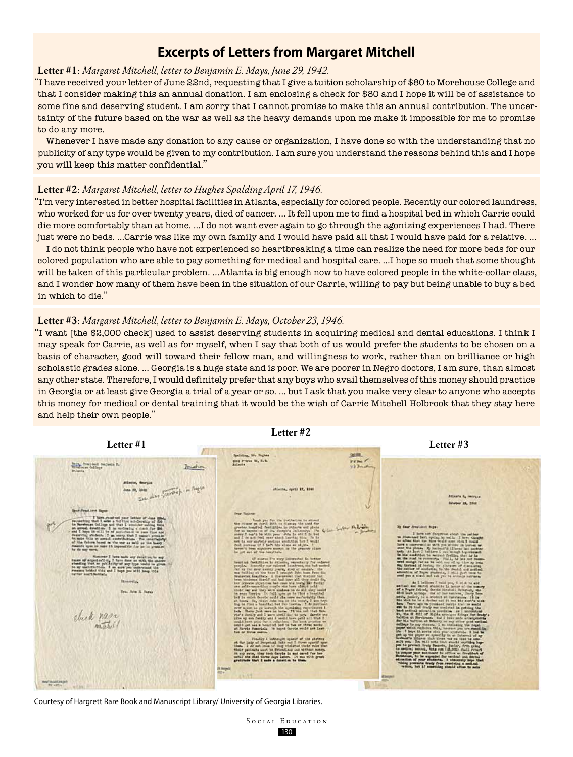### **Excerpts of Letters from Margaret Mitchell**

#### **Letter #1**: *Margaret Mitchell, letter to Benjamin E. Mays, June 29, 1942.*

"I have received your letter of June 22nd, requesting that I give a tuition scholarship of \$80 to Morehouse College and that I consider making this an annual donation. I am enclosing a check for \$80 and I hope it will be of assistance to some fine and deserving student. I am sorry that I cannot promise to make this an annual contribution. The uncertainty of the future based on the war as well as the heavy demands upon me make it impossible for me to promise to do any more.

Whenever I have made any donation to any cause or organization, I have done so with the understanding that no publicity of any type would be given to my contribution. I am sure you understand the reasons behind this and I hope you will keep this matter confidential."

#### **Letter #2**: *Margaret Mitchell, letter to Hughes Spalding April 17, 1946.*

"I'm very interested in better hospital facilities in Atlanta, especially for colored people. Recently our colored laundress, who worked for us for over twenty years, died of cancer. … It fell upon me to find a hospital bed in which Carrie could die more comfortably than at home. …I do not want ever again to go through the agonizing experiences I had. There just were no beds. …Carrie was like my own family and I would have paid all that I would have paid for a relative. …

I do not think people who have not experienced so heartbreaking a time can realize the need for more beds for our colored population who are able to pay something for medical and hospital care. …I hope so much that some thought will be taken of this particular problem. …Atlanta is big enough now to have colored people in the white-collar class, and I wonder how many of them have been in the situation of our Carrie, willing to pay but being unable to buy a bed in which to die."

#### **Letter #3**: *Margaret Mitchell, letter to Benjamin E. Mays, October 23, 1946.*

"I want [the \$2,000 check] used to assist deserving students in acquiring medical and dental educations. I think I may speak for Carrie, as well as for myself, when I say that both of us would prefer the students to be chosen on a basis of character, good will toward their fellow man, and willingness to work, rather than on brilliance or high scholastic grades alone. … Georgia is a huge state and is poor. We are poorer in Negro doctors, I am sure, than almost any other state. Therefore, I would definitely prefer that any boys who avail themselves of this money should practice in Georgia or at least give Georgia a trial of a year or so. … but I ask that you make very clear to anyone who accepts this money for medical or dental training that it would be the wish of Carrie Mitchell Holbrook that they stay here and help their own people."

**Letter #2**

**Letter #3**

#### **Letter #1**



Courtesy of Hargrett Rare Book and Manuscript Library/ University of Georgia Libraries.